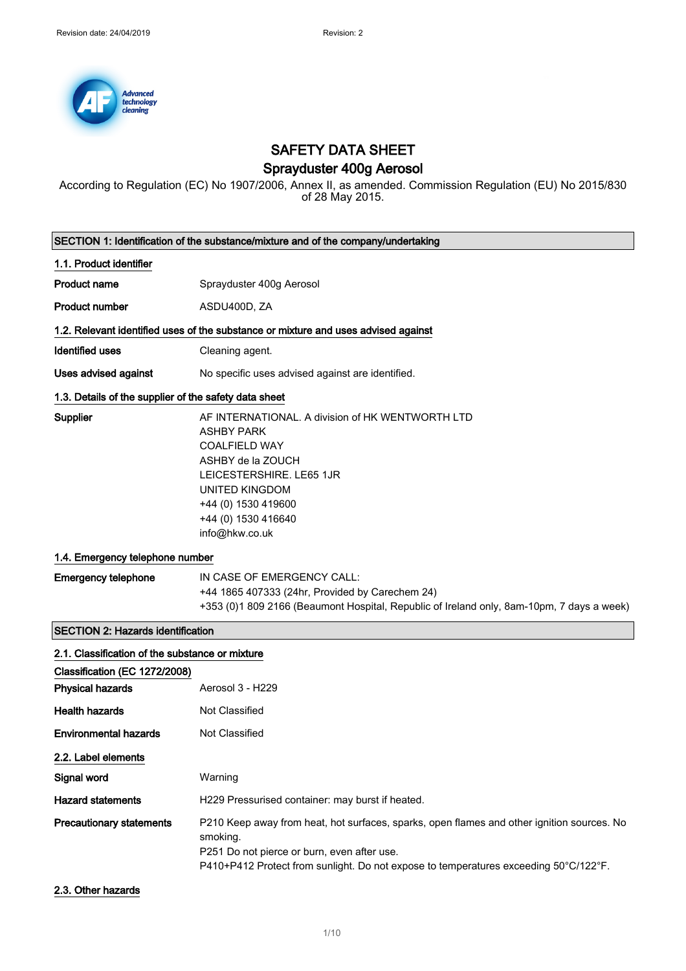

### SAFETY DATA SHEET

### Sprayduster 400g Aerosol

According to Regulation (EC) No 1907/2006, Annex II, as amended. Commission Regulation (EU) No 2015/830 of 28 May 2015.

|                                                       | SECTION 1: Identification of the substance/mixture and of the company/undertaking                                                                                                                                                             |  |  |
|-------------------------------------------------------|-----------------------------------------------------------------------------------------------------------------------------------------------------------------------------------------------------------------------------------------------|--|--|
| 1.1. Product identifier                               |                                                                                                                                                                                                                                               |  |  |
| <b>Product name</b>                                   | Sprayduster 400g Aerosol                                                                                                                                                                                                                      |  |  |
| <b>Product number</b>                                 | ASDU400D, ZA                                                                                                                                                                                                                                  |  |  |
|                                                       | 1.2. Relevant identified uses of the substance or mixture and uses advised against                                                                                                                                                            |  |  |
| <b>Identified uses</b>                                | Cleaning agent.                                                                                                                                                                                                                               |  |  |
| Uses advised against                                  | No specific uses advised against are identified.                                                                                                                                                                                              |  |  |
| 1.3. Details of the supplier of the safety data sheet |                                                                                                                                                                                                                                               |  |  |
| Supplier                                              | AF INTERNATIONAL. A division of HK WENTWORTH LTD<br><b>ASHBY PARK</b><br><b>COALFIELD WAY</b><br>ASHBY de la ZOUCH<br>LEICESTERSHIRE. LE65 1JR<br><b>UNITED KINGDOM</b><br>+44 (0) 1530 419600<br>+44 (0) 1530 416640<br>info@hkw.co.uk       |  |  |
| 1.4. Emergency telephone number                       |                                                                                                                                                                                                                                               |  |  |
| <b>Emergency telephone</b>                            | IN CASE OF EMERGENCY CALL:<br>+44 1865 407333 (24hr, Provided by Carechem 24)<br>+353 (0)1 809 2166 (Beaumont Hospital, Republic of Ireland only, 8am-10pm, 7 days a week)                                                                    |  |  |
| <b>SECTION 2: Hazards identification</b>              |                                                                                                                                                                                                                                               |  |  |
| 2.1. Classification of the substance or mixture       |                                                                                                                                                                                                                                               |  |  |
| Classification (EC 1272/2008)                         |                                                                                                                                                                                                                                               |  |  |
| <b>Physical hazards</b>                               | Aerosol 3 - H229                                                                                                                                                                                                                              |  |  |
| <b>Health hazards</b>                                 | Not Classified                                                                                                                                                                                                                                |  |  |
| <b>Environmental hazards</b>                          | Not Classified                                                                                                                                                                                                                                |  |  |
| 2.2. Label elements                                   |                                                                                                                                                                                                                                               |  |  |
| Signal word                                           | Warning                                                                                                                                                                                                                                       |  |  |
| <b>Hazard statements</b>                              | H229 Pressurised container: may burst if heated.                                                                                                                                                                                              |  |  |
| <b>Precautionary statements</b>                       | P210 Keep away from heat, hot surfaces, sparks, open flames and other ignition sources. No<br>smoking.<br>P251 Do not pierce or burn, even after use.<br>P410+P412 Protect from sunlight. Do not expose to temperatures exceeding 50°C/122°F. |  |  |

2.3. Other hazards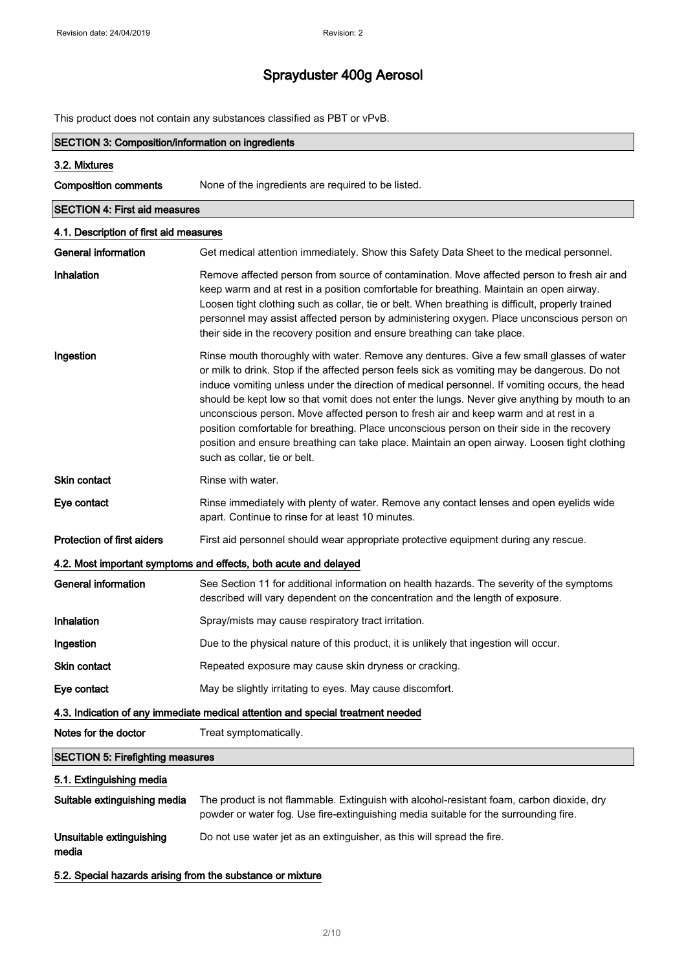This product does not contain any substances classified as PBT or vPvB.

| <b>SECTION 3: Composition/information on ingredients</b> |                                                                                                                                                                                                                                                                                                                                                                                                                                                                                                                                                                                                                                                                                                                    |  |
|----------------------------------------------------------|--------------------------------------------------------------------------------------------------------------------------------------------------------------------------------------------------------------------------------------------------------------------------------------------------------------------------------------------------------------------------------------------------------------------------------------------------------------------------------------------------------------------------------------------------------------------------------------------------------------------------------------------------------------------------------------------------------------------|--|
| 3.2. Mixtures                                            |                                                                                                                                                                                                                                                                                                                                                                                                                                                                                                                                                                                                                                                                                                                    |  |
| <b>Composition comments</b>                              | None of the ingredients are required to be listed.                                                                                                                                                                                                                                                                                                                                                                                                                                                                                                                                                                                                                                                                 |  |
| <b>SECTION 4: First aid measures</b>                     |                                                                                                                                                                                                                                                                                                                                                                                                                                                                                                                                                                                                                                                                                                                    |  |
| 4.1. Description of first aid measures                   |                                                                                                                                                                                                                                                                                                                                                                                                                                                                                                                                                                                                                                                                                                                    |  |
| <b>General information</b>                               | Get medical attention immediately. Show this Safety Data Sheet to the medical personnel.                                                                                                                                                                                                                                                                                                                                                                                                                                                                                                                                                                                                                           |  |
| Inhalation                                               | Remove affected person from source of contamination. Move affected person to fresh air and<br>keep warm and at rest in a position comfortable for breathing. Maintain an open airway.<br>Loosen tight clothing such as collar, tie or belt. When breathing is difficult, properly trained<br>personnel may assist affected person by administering oxygen. Place unconscious person on<br>their side in the recovery position and ensure breathing can take place.                                                                                                                                                                                                                                                 |  |
| Ingestion                                                | Rinse mouth thoroughly with water. Remove any dentures. Give a few small glasses of water<br>or milk to drink. Stop if the affected person feels sick as vomiting may be dangerous. Do not<br>induce vomiting unless under the direction of medical personnel. If vomiting occurs, the head<br>should be kept low so that vomit does not enter the lungs. Never give anything by mouth to an<br>unconscious person. Move affected person to fresh air and keep warm and at rest in a<br>position comfortable for breathing. Place unconscious person on their side in the recovery<br>position and ensure breathing can take place. Maintain an open airway. Loosen tight clothing<br>such as collar, tie or belt. |  |
| Skin contact                                             | Rinse with water.                                                                                                                                                                                                                                                                                                                                                                                                                                                                                                                                                                                                                                                                                                  |  |
| Eye contact                                              | Rinse immediately with plenty of water. Remove any contact lenses and open eyelids wide<br>apart. Continue to rinse for at least 10 minutes.                                                                                                                                                                                                                                                                                                                                                                                                                                                                                                                                                                       |  |
| <b>Protection of first aiders</b>                        | First aid personnel should wear appropriate protective equipment during any rescue.                                                                                                                                                                                                                                                                                                                                                                                                                                                                                                                                                                                                                                |  |
|                                                          | 4.2. Most important symptoms and effects, both acute and delayed                                                                                                                                                                                                                                                                                                                                                                                                                                                                                                                                                                                                                                                   |  |
| General information                                      | See Section 11 for additional information on health hazards. The severity of the symptoms<br>described will vary dependent on the concentration and the length of exposure.                                                                                                                                                                                                                                                                                                                                                                                                                                                                                                                                        |  |
| Inhalation                                               | Spray/mists may cause respiratory tract irritation.                                                                                                                                                                                                                                                                                                                                                                                                                                                                                                                                                                                                                                                                |  |
| Ingestion                                                | Due to the physical nature of this product, it is unlikely that ingestion will occur.                                                                                                                                                                                                                                                                                                                                                                                                                                                                                                                                                                                                                              |  |
| <b>Skin contact</b>                                      | Repeated exposure may cause skin dryness or cracking.                                                                                                                                                                                                                                                                                                                                                                                                                                                                                                                                                                                                                                                              |  |
| Eye contact                                              | May be slightly irritating to eyes. May cause discomfort.                                                                                                                                                                                                                                                                                                                                                                                                                                                                                                                                                                                                                                                          |  |
|                                                          | 4.3. Indication of any immediate medical attention and special treatment needed                                                                                                                                                                                                                                                                                                                                                                                                                                                                                                                                                                                                                                    |  |
| Notes for the doctor                                     | Treat symptomatically.                                                                                                                                                                                                                                                                                                                                                                                                                                                                                                                                                                                                                                                                                             |  |
| <b>SECTION 5: Firefighting measures</b>                  |                                                                                                                                                                                                                                                                                                                                                                                                                                                                                                                                                                                                                                                                                                                    |  |
| 5.1. Extinguishing media                                 |                                                                                                                                                                                                                                                                                                                                                                                                                                                                                                                                                                                                                                                                                                                    |  |
| Suitable extinguishing media                             | The product is not flammable. Extinguish with alcohol-resistant foam, carbon dioxide, dry<br>powder or water fog. Use fire-extinguishing media suitable for the surrounding fire.                                                                                                                                                                                                                                                                                                                                                                                                                                                                                                                                  |  |
| Unsuitable extinguishing<br>media                        | Do not use water jet as an extinguisher, as this will spread the fire.                                                                                                                                                                                                                                                                                                                                                                                                                                                                                                                                                                                                                                             |  |

5.2. Special hazards arising from the substance or mixture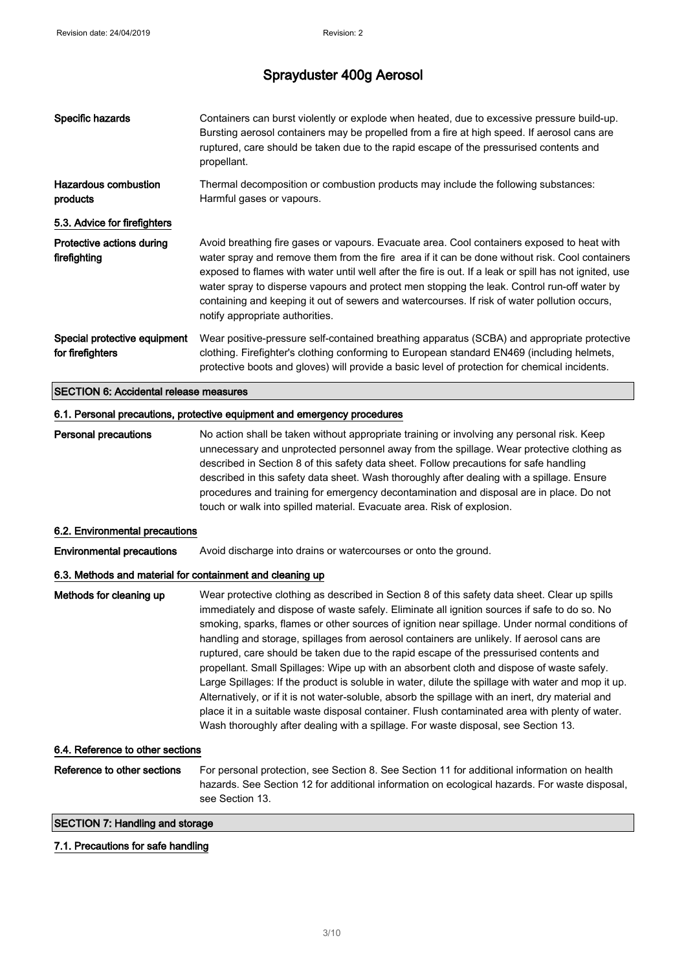| Specific hazards                                                         | Containers can burst violently or explode when heated, due to excessive pressure build-up.<br>Bursting aerosol containers may be propelled from a fire at high speed. If aerosol cans are<br>ruptured, care should be taken due to the rapid escape of the pressurised contents and<br>propellant.                                                                                                                                                                                                                                                                                                                                                                                                                                                                                                                                                                                                                                                                                     |  |
|--------------------------------------------------------------------------|----------------------------------------------------------------------------------------------------------------------------------------------------------------------------------------------------------------------------------------------------------------------------------------------------------------------------------------------------------------------------------------------------------------------------------------------------------------------------------------------------------------------------------------------------------------------------------------------------------------------------------------------------------------------------------------------------------------------------------------------------------------------------------------------------------------------------------------------------------------------------------------------------------------------------------------------------------------------------------------|--|
| <b>Hazardous combustion</b><br>products                                  | Thermal decomposition or combustion products may include the following substances:<br>Harmful gases or vapours.                                                                                                                                                                                                                                                                                                                                                                                                                                                                                                                                                                                                                                                                                                                                                                                                                                                                        |  |
| 5.3. Advice for firefighters                                             |                                                                                                                                                                                                                                                                                                                                                                                                                                                                                                                                                                                                                                                                                                                                                                                                                                                                                                                                                                                        |  |
| Protective actions during<br>firefighting                                | Avoid breathing fire gases or vapours. Evacuate area. Cool containers exposed to heat with<br>water spray and remove them from the fire area if it can be done without risk. Cool containers<br>exposed to flames with water until well after the fire is out. If a leak or spill has not ignited, use<br>water spray to disperse vapours and protect men stopping the leak. Control run-off water by<br>containing and keeping it out of sewers and watercourses. If risk of water pollution occurs,<br>notify appropriate authorities.                                                                                                                                                                                                                                                                                                                                                                                                                                               |  |
| Special protective equipment<br>for firefighters                         | Wear positive-pressure self-contained breathing apparatus (SCBA) and appropriate protective<br>clothing. Firefighter's clothing conforming to European standard EN469 (including helmets,<br>protective boots and gloves) will provide a basic level of protection for chemical incidents.                                                                                                                                                                                                                                                                                                                                                                                                                                                                                                                                                                                                                                                                                             |  |
| <b>SECTION 6: Accidental release measures</b>                            |                                                                                                                                                                                                                                                                                                                                                                                                                                                                                                                                                                                                                                                                                                                                                                                                                                                                                                                                                                                        |  |
| 6.1. Personal precautions, protective equipment and emergency procedures |                                                                                                                                                                                                                                                                                                                                                                                                                                                                                                                                                                                                                                                                                                                                                                                                                                                                                                                                                                                        |  |
| <b>Personal precautions</b>                                              | No action shall be taken without appropriate training or involving any personal risk. Keep<br>unnecessary and unprotected personnel away from the spillage. Wear protective clothing as<br>described in Section 8 of this safety data sheet. Follow precautions for safe handling<br>described in this safety data sheet. Wash thoroughly after dealing with a spillage. Ensure<br>procedures and training for emergency decontamination and disposal are in place. Do not<br>touch or walk into spilled material. Evacuate area. Risk of explosion.                                                                                                                                                                                                                                                                                                                                                                                                                                   |  |
| 6.2. Environmental precautions                                           |                                                                                                                                                                                                                                                                                                                                                                                                                                                                                                                                                                                                                                                                                                                                                                                                                                                                                                                                                                                        |  |
| <b>Environmental precautions</b>                                         | Avoid discharge into drains or watercourses or onto the ground.                                                                                                                                                                                                                                                                                                                                                                                                                                                                                                                                                                                                                                                                                                                                                                                                                                                                                                                        |  |
| 6.3. Methods and material for containment and cleaning up                |                                                                                                                                                                                                                                                                                                                                                                                                                                                                                                                                                                                                                                                                                                                                                                                                                                                                                                                                                                                        |  |
| Methods for cleaning up                                                  | Wear protective clothing as described in Section 8 of this safety data sheet. Clear up spills<br>immediately and dispose of waste safely. Eliminate all ignition sources if safe to do so. No<br>smoking, sparks, flames or other sources of ignition near spillage. Under normal conditions of<br>handling and storage, spillages from aerosol containers are unlikely. If aerosol cans are<br>ruptured, care should be taken due to the rapid escape of the pressurised contents and<br>propellant. Small Spillages: Wipe up with an absorbent cloth and dispose of waste safely.<br>Large Spillages: If the product is soluble in water, dilute the spillage with water and mop it up.<br>Alternatively, or if it is not water-soluble, absorb the spillage with an inert, dry material and<br>place it in a suitable waste disposal container. Flush contaminated area with plenty of water.<br>Wash thoroughly after dealing with a spillage. For waste disposal, see Section 13. |  |
| 6.4. Reference to other sections                                         |                                                                                                                                                                                                                                                                                                                                                                                                                                                                                                                                                                                                                                                                                                                                                                                                                                                                                                                                                                                        |  |
| Reference to other sections                                              | For personal protection, see Section 8. See Section 11 for additional information on health<br>hazards. See Section 12 for additional information on ecological hazards. For waste disposal,<br>see Section 13.                                                                                                                                                                                                                                                                                                                                                                                                                                                                                                                                                                                                                                                                                                                                                                        |  |
| <b>SECTION 7: Handling and storage</b>                                   |                                                                                                                                                                                                                                                                                                                                                                                                                                                                                                                                                                                                                                                                                                                                                                                                                                                                                                                                                                                        |  |

#### 7.1. Precautions for safe handling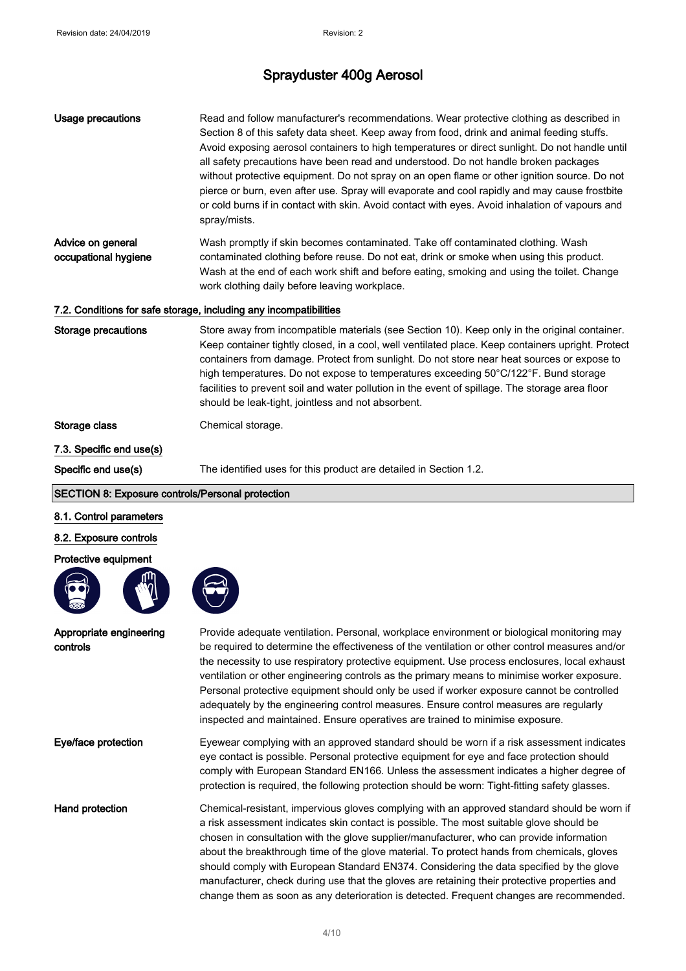| <b>Usage precautions</b>                         | Read and follow manufacturer's recommendations. Wear protective clothing as described in<br>Section 8 of this safety data sheet. Keep away from food, drink and animal feeding stuffs.<br>Avoid exposing aerosol containers to high temperatures or direct sunlight. Do not handle until<br>all safety precautions have been read and understood. Do not handle broken packages<br>without protective equipment. Do not spray on an open flame or other ignition source. Do not<br>pierce or burn, even after use. Spray will evaporate and cool rapidly and may cause frostbite<br>or cold burns if in contact with skin. Avoid contact with eyes. Avoid inhalation of vapours and<br>spray/mists. |
|--------------------------------------------------|-----------------------------------------------------------------------------------------------------------------------------------------------------------------------------------------------------------------------------------------------------------------------------------------------------------------------------------------------------------------------------------------------------------------------------------------------------------------------------------------------------------------------------------------------------------------------------------------------------------------------------------------------------------------------------------------------------|
| Advice on general<br>occupational hygiene        | Wash promptly if skin becomes contaminated. Take off contaminated clothing. Wash<br>contaminated clothing before reuse. Do not eat, drink or smoke when using this product.<br>Wash at the end of each work shift and before eating, smoking and using the toilet. Change<br>work clothing daily before leaving workplace.                                                                                                                                                                                                                                                                                                                                                                          |
|                                                  | 7.2. Conditions for safe storage, including any incompatibilities                                                                                                                                                                                                                                                                                                                                                                                                                                                                                                                                                                                                                                   |
| <b>Storage precautions</b>                       | Store away from incompatible materials (see Section 10). Keep only in the original container.<br>Keep container tightly closed, in a cool, well ventilated place. Keep containers upright. Protect<br>containers from damage. Protect from sunlight. Do not store near heat sources or expose to<br>high temperatures. Do not expose to temperatures exceeding 50°C/122°F. Bund storage<br>facilities to prevent soil and water pollution in the event of spillage. The storage area floor<br>should be leak-tight, jointless and not absorbent.                                                                                                                                                    |
| Storage class                                    | Chemical storage.                                                                                                                                                                                                                                                                                                                                                                                                                                                                                                                                                                                                                                                                                   |
| 7.3. Specific end use(s)                         |                                                                                                                                                                                                                                                                                                                                                                                                                                                                                                                                                                                                                                                                                                     |
| Specific end use(s)                              | The identified uses for this product are detailed in Section 1.2.                                                                                                                                                                                                                                                                                                                                                                                                                                                                                                                                                                                                                                   |
| SECTION 8: Exposure controls/Personal protection |                                                                                                                                                                                                                                                                                                                                                                                                                                                                                                                                                                                                                                                                                                     |
| 8.1. Control parameters                          |                                                                                                                                                                                                                                                                                                                                                                                                                                                                                                                                                                                                                                                                                                     |
| 8.2. Exposure controls                           |                                                                                                                                                                                                                                                                                                                                                                                                                                                                                                                                                                                                                                                                                                     |
| Protective equipment                             |                                                                                                                                                                                                                                                                                                                                                                                                                                                                                                                                                                                                                                                                                                     |
|                                                  |                                                                                                                                                                                                                                                                                                                                                                                                                                                                                                                                                                                                                                                                                                     |
| Appropriate engineering<br>controls              | Provide adequate ventilation. Personal, workplace environment or biological monitoring may<br>be required to determine the effectiveness of the ventilation or other control measures and/or<br>the necessity to use respiratory protective equipment. Use process enclosures, local exhaust<br>ventilation or other engineering controls as the primary means to minimise worker exposure.<br>Personal protective equipment should only be used if worker exposure cannot be controlled<br>adequately by the engineering control measures. Ensure control measures are regularly<br>inspected and maintained. Ensure operatives are trained to minimise exposure.                                  |
| Eye/face protection                              | Eyewear complying with an approved standard should be worn if a risk assessment indicates<br>eye contact is possible. Personal protective equipment for eye and face protection should<br>comply with European Standard EN166. Unless the assessment indicates a higher degree of<br>protection is required, the following protection should be worn: Tight-fitting safety glasses.                                                                                                                                                                                                                                                                                                                 |
| Hand protection                                  | Chemical-resistant, impervious gloves complying with an approved standard should be worn if<br>a risk assessment indicates skin contact is possible. The most suitable glove should be<br>chosen in consultation with the glove supplier/manufacturer, who can provide information<br>about the breakthrough time of the glove material. To protect hands from chemicals, gloves<br>should comply with European Standard EN374. Considering the data specified by the glove<br>manufacturer, check during use that the gloves are retaining their protective properties and<br>change them as soon as any deterioration is detected. Frequent changes are recommended.                              |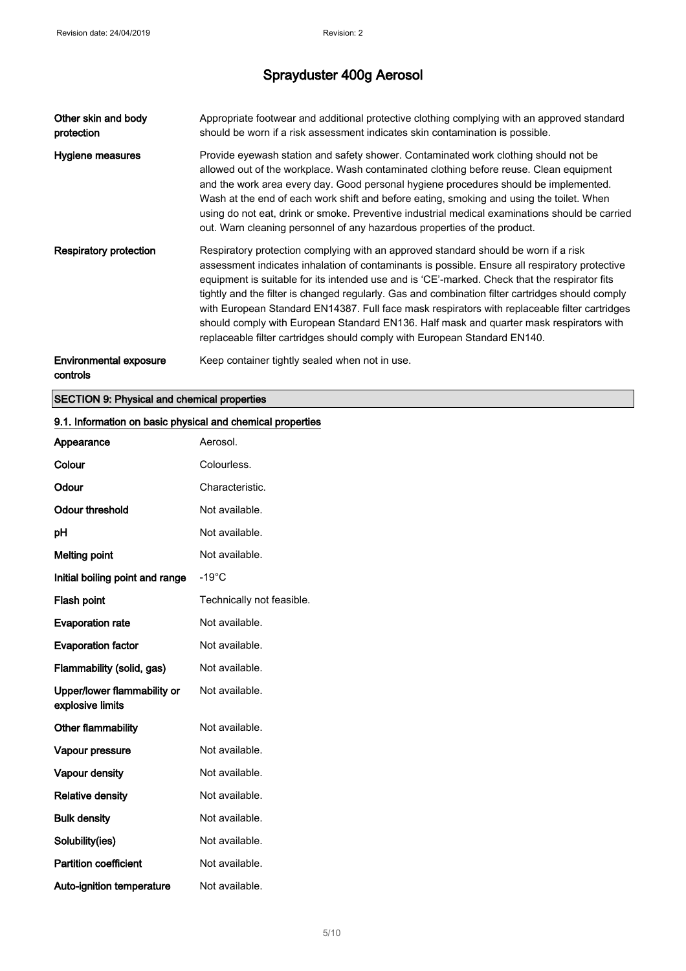| Other skin and body<br>protection         | Appropriate footwear and additional protective clothing complying with an approved standard<br>should be worn if a risk assessment indicates skin contamination is possible.                                                                                                                                                                                                                                                                                                                                                                                                                                                                                        |
|-------------------------------------------|---------------------------------------------------------------------------------------------------------------------------------------------------------------------------------------------------------------------------------------------------------------------------------------------------------------------------------------------------------------------------------------------------------------------------------------------------------------------------------------------------------------------------------------------------------------------------------------------------------------------------------------------------------------------|
| Hygiene measures                          | Provide eyewash station and safety shower. Contaminated work clothing should not be<br>allowed out of the workplace. Wash contaminated clothing before reuse. Clean equipment<br>and the work area every day. Good personal hygiene procedures should be implemented.<br>Wash at the end of each work shift and before eating, smoking and using the toilet. When<br>using do not eat, drink or smoke. Preventive industrial medical examinations should be carried<br>out. Warn cleaning personnel of any hazardous properties of the product.                                                                                                                     |
| Respiratory protection                    | Respiratory protection complying with an approved standard should be worn if a risk<br>assessment indicates inhalation of contaminants is possible. Ensure all respiratory protective<br>equipment is suitable for its intended use and is 'CE'-marked. Check that the respirator fits<br>tightly and the filter is changed regularly. Gas and combination filter cartridges should comply<br>with European Standard EN14387. Full face mask respirators with replaceable filter cartridges<br>should comply with European Standard EN136. Half mask and quarter mask respirators with<br>replaceable filter cartridges should comply with European Standard EN140. |
| <b>Environmental exposure</b><br>controls | Keep container tightly sealed when not in use.                                                                                                                                                                                                                                                                                                                                                                                                                                                                                                                                                                                                                      |

#### SECTION 9: Physical and chemical properties

| Appearance                                      | Aerosol.                  |
|-------------------------------------------------|---------------------------|
| Colour                                          | Colourless.               |
| Odour                                           | Characteristic.           |
| <b>Odour threshold</b>                          | Not available.            |
| рH                                              | Not available.            |
| <b>Melting point</b>                            | Not available.            |
| Initial boiling point and range                 | $-19^{\circ}$ C           |
| Flash point                                     | Technically not feasible. |
| <b>Evaporation rate</b>                         | Not available.            |
| <b>Evaporation factor</b>                       | Not available.            |
| Flammability (solid, gas)                       | Not available.            |
| Upper/lower flammability or<br>explosive limits | Not available.            |
| Other flammability                              | Not available.            |
| Vapour pressure                                 | Not available.            |
| Vapour density                                  | Not available.            |
| <b>Relative density</b>                         | Not available.            |
| <b>Bulk density</b>                             | Not available.            |
| Solubility(ies)                                 | Not available.            |
| <b>Partition coefficient</b>                    | Not available.            |
| Auto-ignition temperature                       | Not available.            |

### 9.1. Information on basic physical and chemical properties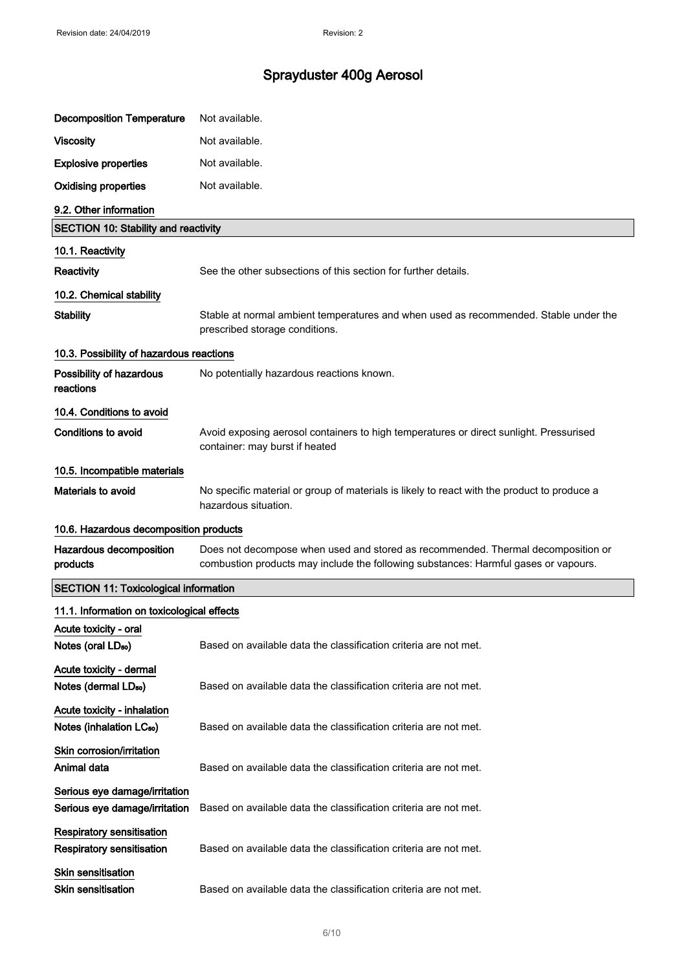| <b>Decomposition Temperature</b>                                     | Not available.                                                                                                                                                          |
|----------------------------------------------------------------------|-------------------------------------------------------------------------------------------------------------------------------------------------------------------------|
| <b>Viscosity</b>                                                     | Not available.                                                                                                                                                          |
| <b>Explosive properties</b>                                          | Not available.                                                                                                                                                          |
| <b>Oxidising properties</b>                                          | Not available.                                                                                                                                                          |
| 9.2. Other information                                               |                                                                                                                                                                         |
| <b>SECTION 10: Stability and reactivity</b>                          |                                                                                                                                                                         |
| 10.1. Reactivity                                                     |                                                                                                                                                                         |
| Reactivity                                                           | See the other subsections of this section for further details.                                                                                                          |
| 10.2. Chemical stability                                             |                                                                                                                                                                         |
| <b>Stability</b>                                                     | Stable at normal ambient temperatures and when used as recommended. Stable under the<br>prescribed storage conditions.                                                  |
| 10.3. Possibility of hazardous reactions                             |                                                                                                                                                                         |
| Possibility of hazardous<br>reactions                                | No potentially hazardous reactions known.                                                                                                                               |
| 10.4. Conditions to avoid                                            |                                                                                                                                                                         |
| <b>Conditions to avoid</b>                                           | Avoid exposing aerosol containers to high temperatures or direct sunlight. Pressurised<br>container: may burst if heated                                                |
| 10.5. Incompatible materials                                         |                                                                                                                                                                         |
| Materials to avoid                                                   | No specific material or group of materials is likely to react with the product to produce a<br>hazardous situation.                                                     |
| 10.6. Hazardous decomposition products                               |                                                                                                                                                                         |
| Hazardous decomposition<br>products                                  | Does not decompose when used and stored as recommended. Thermal decomposition or<br>combustion products may include the following substances: Harmful gases or vapours. |
| <b>SECTION 11: Toxicological information</b>                         |                                                                                                                                                                         |
| 11.1. Information on toxicological effects                           |                                                                                                                                                                         |
| Acute toxicity - oral                                                |                                                                                                                                                                         |
| Notes (oral LD <sub>50</sub> )                                       | Based on available data the classification criteria are not met.                                                                                                        |
| Acute toxicity - dermal<br>Notes (dermal LD <sub>50</sub> )          | Based on available data the classification criteria are not met.                                                                                                        |
| Acute toxicity - inhalation<br>Notes (inhalation LC <sub>50</sub> )  | Based on available data the classification criteria are not met.                                                                                                        |
| Skin corrosion/irritation<br>Animal data                             | Based on available data the classification criteria are not met.                                                                                                        |
| Serious eye damage/irritation<br>Serious eye damage/irritation       | Based on available data the classification criteria are not met.                                                                                                        |
| <b>Respiratory sensitisation</b><br><b>Respiratory sensitisation</b> | Based on available data the classification criteria are not met.                                                                                                        |
| <b>Skin sensitisation</b><br><b>Skin sensitisation</b>               | Based on available data the classification criteria are not met.                                                                                                        |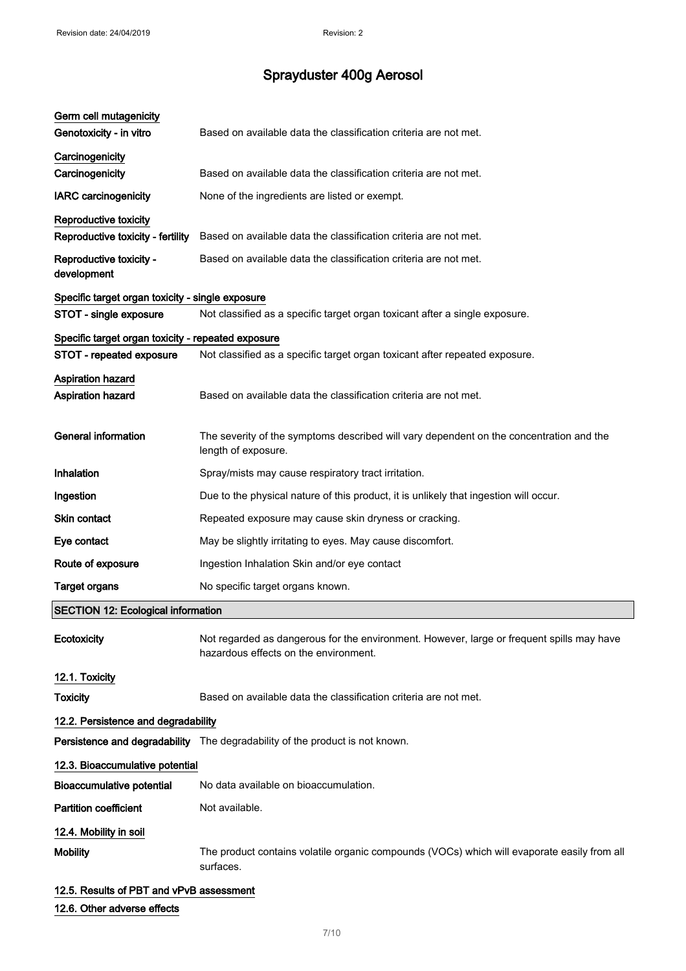| Germ cell mutagenicity<br>Genotoxicity - in vitro  | Based on available data the classification criteria are not met.                                                                   |
|----------------------------------------------------|------------------------------------------------------------------------------------------------------------------------------------|
|                                                    |                                                                                                                                    |
| Carcinogenicity<br>Carcinogenicity                 | Based on available data the classification criteria are not met.                                                                   |
| <b>IARC</b> carcinogenicity                        | None of the ingredients are listed or exempt.                                                                                      |
| Reproductive toxicity                              |                                                                                                                                    |
| Reproductive toxicity - fertility                  | Based on available data the classification criteria are not met.                                                                   |
| Reproductive toxicity -<br>development             | Based on available data the classification criteria are not met.                                                                   |
| Specific target organ toxicity - single exposure   |                                                                                                                                    |
| STOT - single exposure                             | Not classified as a specific target organ toxicant after a single exposure.                                                        |
| Specific target organ toxicity - repeated exposure |                                                                                                                                    |
| STOT - repeated exposure                           | Not classified as a specific target organ toxicant after repeated exposure.                                                        |
| Aspiration hazard<br><b>Aspiration hazard</b>      | Based on available data the classification criteria are not met.                                                                   |
| <b>General information</b>                         | The severity of the symptoms described will vary dependent on the concentration and the<br>length of exposure.                     |
| Inhalation                                         | Spray/mists may cause respiratory tract irritation.                                                                                |
| Ingestion                                          | Due to the physical nature of this product, it is unlikely that ingestion will occur.                                              |
| <b>Skin contact</b>                                | Repeated exposure may cause skin dryness or cracking.                                                                              |
| Eye contact                                        | May be slightly irritating to eyes. May cause discomfort.                                                                          |
| Route of exposure                                  | Ingestion Inhalation Skin and/or eye contact                                                                                       |
| <b>Target organs</b>                               | No specific target organs known.                                                                                                   |
| <b>SECTION 12: Ecological information</b>          |                                                                                                                                    |
| Ecotoxicity                                        | Not regarded as dangerous for the environment. However, large or frequent spills may have<br>hazardous effects on the environment. |
| 12.1. Toxicity                                     |                                                                                                                                    |
| <b>Toxicity</b>                                    | Based on available data the classification criteria are not met.                                                                   |
| 12.2. Persistence and degradability                |                                                                                                                                    |
|                                                    | Persistence and degradability The degradability of the product is not known.                                                       |
| 12.3. Bioaccumulative potential                    |                                                                                                                                    |
| <b>Bioaccumulative potential</b>                   | No data available on bioaccumulation.                                                                                              |
| <b>Partition coefficient</b>                       | Not available.                                                                                                                     |
| 12.4. Mobility in soil                             |                                                                                                                                    |
| <b>Mobility</b>                                    | The product contains volatile organic compounds (VOCs) which will evaporate easily from all<br>surfaces.                           |
|                                                    |                                                                                                                                    |

## 12.5. Results of PBT and vPvB assessment

### 12.6. Other adverse effects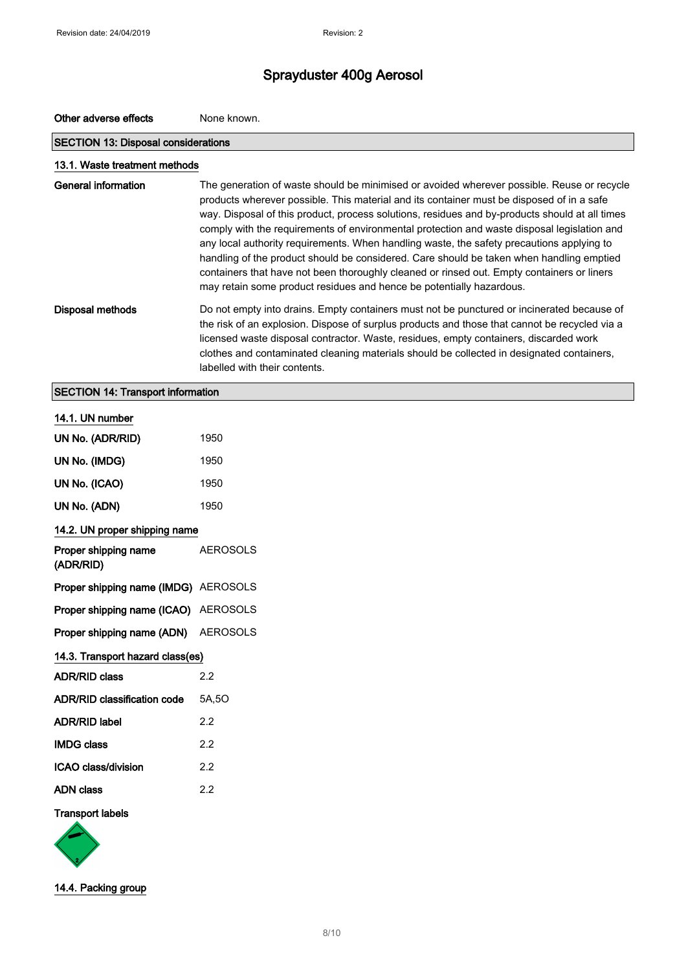| Other adverse effects                      | None known.                                                                                                                                                                                                                                                                                                                                                                                                                                                                                                                                                                                                                                                                                                                                             |  |
|--------------------------------------------|---------------------------------------------------------------------------------------------------------------------------------------------------------------------------------------------------------------------------------------------------------------------------------------------------------------------------------------------------------------------------------------------------------------------------------------------------------------------------------------------------------------------------------------------------------------------------------------------------------------------------------------------------------------------------------------------------------------------------------------------------------|--|
| <b>SECTION 13: Disposal considerations</b> |                                                                                                                                                                                                                                                                                                                                                                                                                                                                                                                                                                                                                                                                                                                                                         |  |
| 13.1. Waste treatment methods              |                                                                                                                                                                                                                                                                                                                                                                                                                                                                                                                                                                                                                                                                                                                                                         |  |
| <b>General information</b>                 | The generation of waste should be minimised or avoided wherever possible. Reuse or recycle<br>products wherever possible. This material and its container must be disposed of in a safe<br>way. Disposal of this product, process solutions, residues and by-products should at all times<br>comply with the requirements of environmental protection and waste disposal legislation and<br>any local authority requirements. When handling waste, the safety precautions applying to<br>handling of the product should be considered. Care should be taken when handling emptied<br>containers that have not been thoroughly cleaned or rinsed out. Empty containers or liners<br>may retain some product residues and hence be potentially hazardous. |  |
| <b>Disposal methods</b>                    | Do not empty into drains. Empty containers must not be punctured or incinerated because of<br>the risk of an explosion. Dispose of surplus products and those that cannot be recycled via a<br>licensed waste disposal contractor. Waste, residues, empty containers, discarded work<br>clothes and contaminated cleaning materials should be collected in designated containers,<br>labelled with their contents.                                                                                                                                                                                                                                                                                                                                      |  |
| <b>SECTION 14: Transport information</b>   |                                                                                                                                                                                                                                                                                                                                                                                                                                                                                                                                                                                                                                                                                                                                                         |  |
| 14.1. UN number                            |                                                                                                                                                                                                                                                                                                                                                                                                                                                                                                                                                                                                                                                                                                                                                         |  |
| UN No. (ADR/RID)                           | 1950                                                                                                                                                                                                                                                                                                                                                                                                                                                                                                                                                                                                                                                                                                                                                    |  |
| UN No. (IMDG)                              | 1950                                                                                                                                                                                                                                                                                                                                                                                                                                                                                                                                                                                                                                                                                                                                                    |  |
| UN No. (ICAO)                              | 1950                                                                                                                                                                                                                                                                                                                                                                                                                                                                                                                                                                                                                                                                                                                                                    |  |
| UN No. (ADN)                               | 1950                                                                                                                                                                                                                                                                                                                                                                                                                                                                                                                                                                                                                                                                                                                                                    |  |
| 14.2. UN proper shipping name              |                                                                                                                                                                                                                                                                                                                                                                                                                                                                                                                                                                                                                                                                                                                                                         |  |
| Proper shipping name<br>(ADR/RID)          | AEROSOLS                                                                                                                                                                                                                                                                                                                                                                                                                                                                                                                                                                                                                                                                                                                                                |  |
| Proper shipping name (IMDG) AEROSOLS       |                                                                                                                                                                                                                                                                                                                                                                                                                                                                                                                                                                                                                                                                                                                                                         |  |
| Proper shipping name (ICAO)                | AEROSOLS                                                                                                                                                                                                                                                                                                                                                                                                                                                                                                                                                                                                                                                                                                                                                |  |
| Proper shipping name (ADN)                 | <b>AEROSOLS</b>                                                                                                                                                                                                                                                                                                                                                                                                                                                                                                                                                                                                                                                                                                                                         |  |

| 14.3. Transport hazard class(es) |       |  |
|----------------------------------|-------|--|
| <b>ADR/RID class</b>             | 2.2   |  |
| ADR/RID classification code      | 5A.5O |  |
| <b>ADR/RID label</b>             | 22    |  |
| <b>IMDG class</b>                | 22    |  |
| ICAO class/division              | 22    |  |

ADN class 2.2

#### Transport labels



14.4. Packing group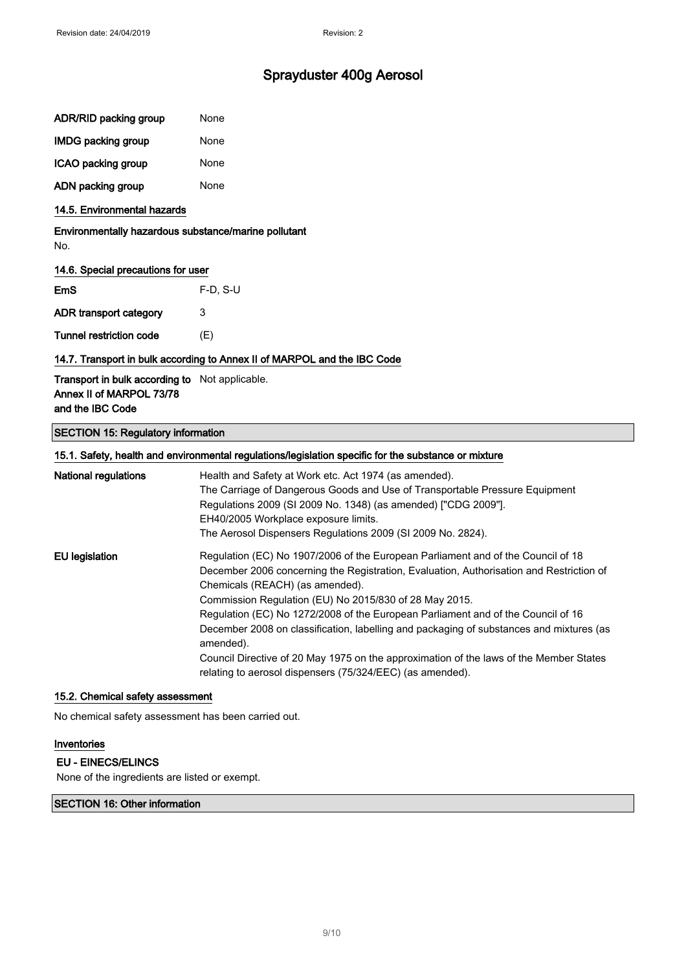| ADR/RID packing group     | None |
|---------------------------|------|
| <b>IMDG packing group</b> | None |
| ICAO packing group        | None |
| ADN packing group         | None |

#### 14.5. Environmental hazards

Environmentally hazardous substance/marine pollutant No.

#### 14.6. Special precautions for user

| EmS                     | $F-D$ , S-U |
|-------------------------|-------------|
| ADR transport category  | 3           |
| Tunnel restriction code | (E)         |

#### 14.7. Transport in bulk according to Annex II of MARPOL and the IBC Code

Transport in bulk according to Not applicable. Annex II of MARPOL 73/78 and the IBC Code

#### SECTION 15: Regulatory information

### 15.1. Safety, health and environmental regulations/legislation specific for the substance or mixture National regulations **Health and Safety at Work etc. Act 1974** (as amended). The Carriage of Dangerous Goods and Use of Transportable Pressure Equipment Regulations 2009 (SI 2009 No. 1348) (as amended) ["CDG 2009"]. EH40/2005 Workplace exposure limits. The Aerosol Dispensers Regulations 2009 (SI 2009 No. 2824). EU legislation Regulation (EC) No 1907/2006 of the European Parliament and of the Council of 18 December 2006 concerning the Registration, Evaluation, Authorisation and Restriction of Chemicals (REACH) (as amended). Commission Regulation (EU) No 2015/830 of 28 May 2015. Regulation (EC) No 1272/2008 of the European Parliament and of the Council of 16 December 2008 on classification, labelling and packaging of substances and mixtures (as amended). Council Directive of 20 May 1975 on the approximation of the laws of the Member States relating to aerosol dispensers (75/324/EEC) (as amended).

#### 15.2. Chemical safety assessment

No chemical safety assessment has been carried out.

#### Inventories

#### EU - EINECS/ELINCS

None of the ingredients are listed or exempt.

#### SECTION 16: Other information